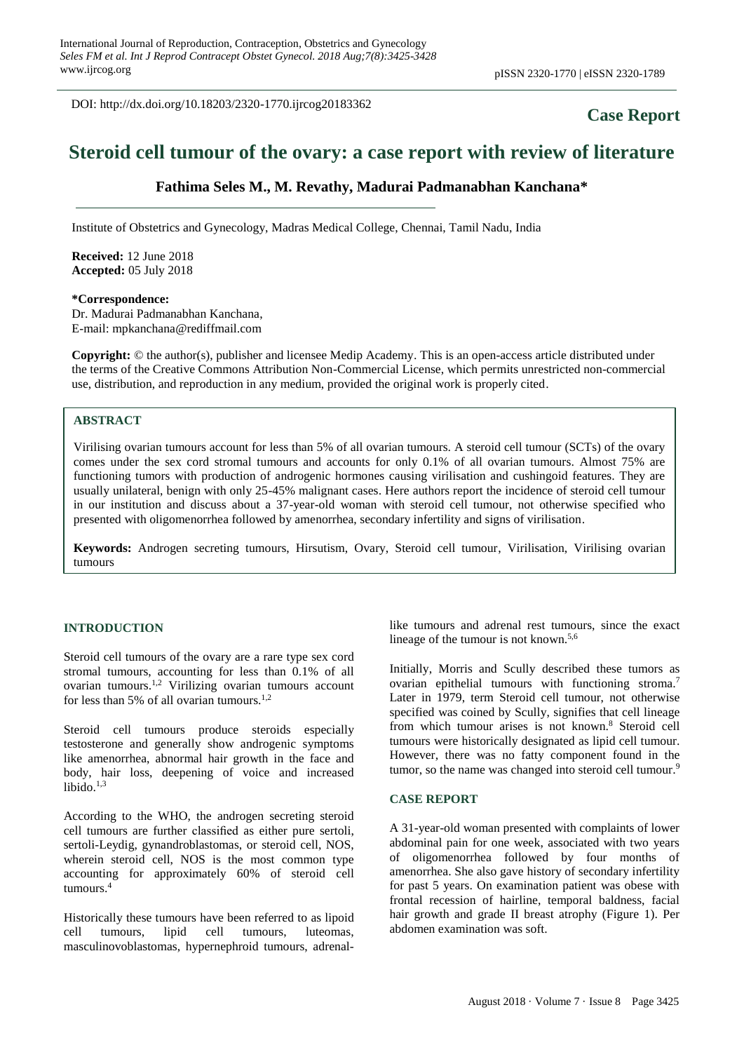DOI: http://dx.doi.org/10.18203/2320-1770.ijrcog20183362

# **Case Report**

# **Steroid cell tumour of the ovary: a case report with review of literature**

## **Fathima Seles M., M. Revathy, Madurai Padmanabhan Kanchana\***

Institute of Obstetrics and Gynecology, Madras Medical College, Chennai, Tamil Nadu, India

**Received:** 12 June 2018 **Accepted:** 05 July 2018

#### **\*Correspondence:**

Dr. Madurai Padmanabhan Kanchana, E-mail: mpkanchana@rediffmail.com

**Copyright:** © the author(s), publisher and licensee Medip Academy. This is an open-access article distributed under the terms of the Creative Commons Attribution Non-Commercial License, which permits unrestricted non-commercial use, distribution, and reproduction in any medium, provided the original work is properly cited.

### **ABSTRACT**

Virilising ovarian tumours account for less than 5% of all ovarian tumours. A steroid cell tumour (SCTs) of the ovary comes under the sex cord stromal tumours and accounts for only 0.1% of all ovarian tumours. Almost 75% are functioning tumors with production of androgenic hormones causing virilisation and cushingoid features. They are usually unilateral, benign with only 25-45% malignant cases. Here authors report the incidence of steroid cell tumour in our institution and discuss about a 37-year-old woman with steroid cell tumour, not otherwise specified who presented with oligomenorrhea followed by amenorrhea, secondary infertility and signs of virilisation.

**Keywords:** Androgen secreting tumours, Hirsutism, Ovary, Steroid cell tumour, Virilisation, Virilising ovarian tumours

#### **INTRODUCTION**

Steroid cell tumours of the ovary are a rare type sex cord stromal tumours, accounting for less than 0.1% of all ovarian tumours. 1,2 Virilizing ovarian tumours account for less than 5% of all ovarian tumours.<sup>1,2</sup>

Steroid cell tumours produce steroids especially testosterone and generally show androgenic symptoms like amenorrhea, abnormal hair growth in the face and body, hair loss, deepening of voice and increased libido. 1,3

According to the WHO, the androgen secreting steroid cell tumours are further classified as either pure sertoli, sertoli-Leydig, gynandroblastomas, or steroid cell, NOS, wherein steroid cell, NOS is the most common type accounting for approximately 60% of steroid cell tumours. 4

Historically these tumours have been referred to as lipoid cell tumours, lipid cell tumours, luteomas, masculinovoblastomas, hypernephroid tumours, adrenallike tumours and adrenal rest tumours, since the exact lineage of the tumour is not known.<sup>5,6</sup>

Initially, Morris and Scully described these tumors as ovarian epithelial tumours with functioning stroma.<sup>7</sup> Later in 1979, term Steroid cell tumour, not otherwise specified was coined by Scully, signifies that cell lineage from which tumour arises is not known. <sup>8</sup> Steroid cell tumours were historically designated as lipid cell tumour. However, there was no fatty component found in the tumor, so the name was changed into steroid cell tumour.<sup>9</sup>

#### **CASE REPORT**

A 31-year-old woman presented with complaints of lower abdominal pain for one week, associated with two years of oligomenorrhea followed by four months of amenorrhea. She also gave history of secondary infertility for past 5 years. On examination patient was obese with frontal recession of hairline, temporal baldness, facial hair growth and grade II breast atrophy (Figure 1). Per abdomen examination was soft.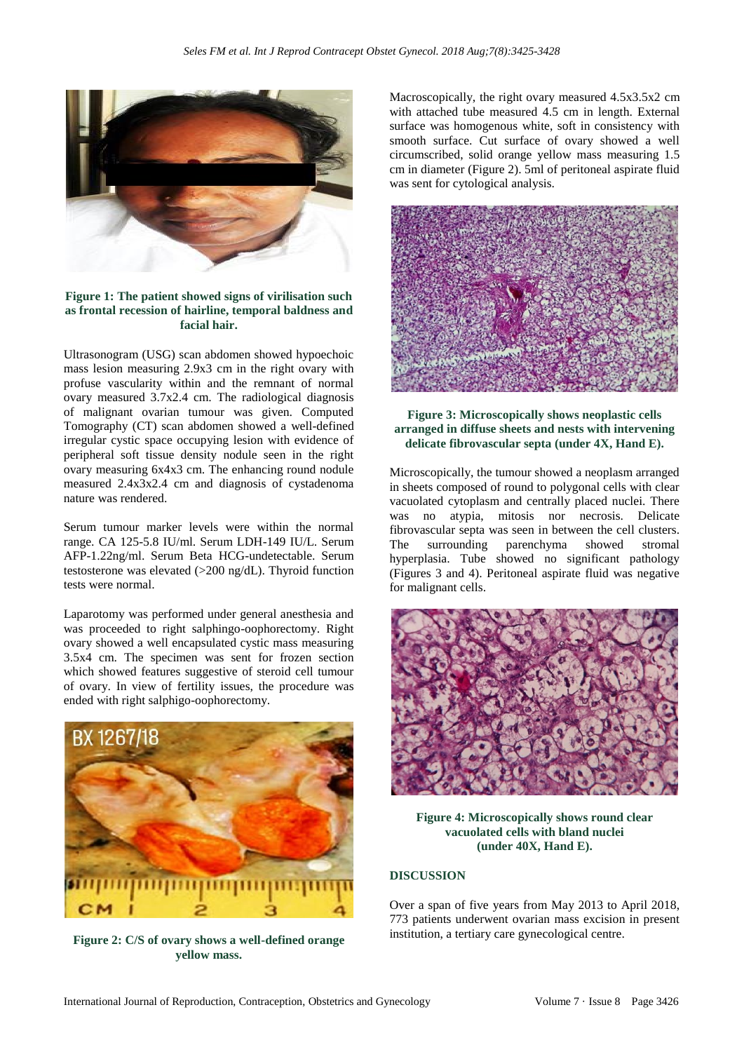

#### **Figure 1: The patient showed signs of virilisation such as frontal recession of hairline, temporal baldness and facial hair.**

Ultrasonogram (USG) scan abdomen showed hypoechoic mass lesion measuring 2.9x3 cm in the right ovary with profuse vascularity within and the remnant of normal ovary measured 3.7x2.4 cm. The radiological diagnosis of malignant ovarian tumour was given. Computed Tomography (CT) scan abdomen showed a well-defined irregular cystic space occupying lesion with evidence of peripheral soft tissue density nodule seen in the right ovary measuring 6x4x3 cm. The enhancing round nodule measured 2.4x3x2.4 cm and diagnosis of cystadenoma nature was rendered.

Serum tumour marker levels were within the normal range. CA 125-5.8 IU/ml. Serum LDH-149 IU/L. Serum AFP-1.22ng/ml. Serum Beta HCG-undetectable. Serum testosterone was elevated (>200 ng/dL). Thyroid function tests were normal.

Laparotomy was performed under general anesthesia and was proceeded to right salphingo-oophorectomy. Right ovary showed a well encapsulated cystic mass measuring 3.5x4 cm. The specimen was sent for frozen section which showed features suggestive of steroid cell tumour of ovary. In view of fertility issues, the procedure was ended with right salphigo-oophorectomy.



**Figure 2: C/S of ovary shows a well-defined orange yellow mass.**

Macroscopically, the right ovary measured 4.5x3.5x2 cm with attached tube measured 4.5 cm in length. External surface was homogenous white, soft in consistency with smooth surface. Cut surface of ovary showed a well circumscribed, solid orange yellow mass measuring 1.5 cm in diameter (Figure 2). 5ml of peritoneal aspirate fluid was sent for cytological analysis.



#### **Figure 3: Microscopically shows neoplastic cells arranged in diffuse sheets and nests with intervening delicate fibrovascular septa (under 4X, Hand E).**

Microscopically, the tumour showed a neoplasm arranged in sheets composed of round to polygonal cells with clear vacuolated cytoplasm and centrally placed nuclei. There was no atypia, mitosis nor necrosis. Delicate fibrovascular septa was seen in between the cell clusters. The surrounding parenchyma showed stromal hyperplasia. Tube showed no significant pathology (Figures 3 and 4). Peritoneal aspirate fluid was negative for malignant cells.



**Figure 4: Microscopically shows round clear vacuolated cells with bland nuclei (under 40X, Hand E).**

### **DISCUSSION**

Over a span of five years from May 2013 to April 2018, 773 patients underwent ovarian mass excision in present institution, a tertiary care gynecological centre.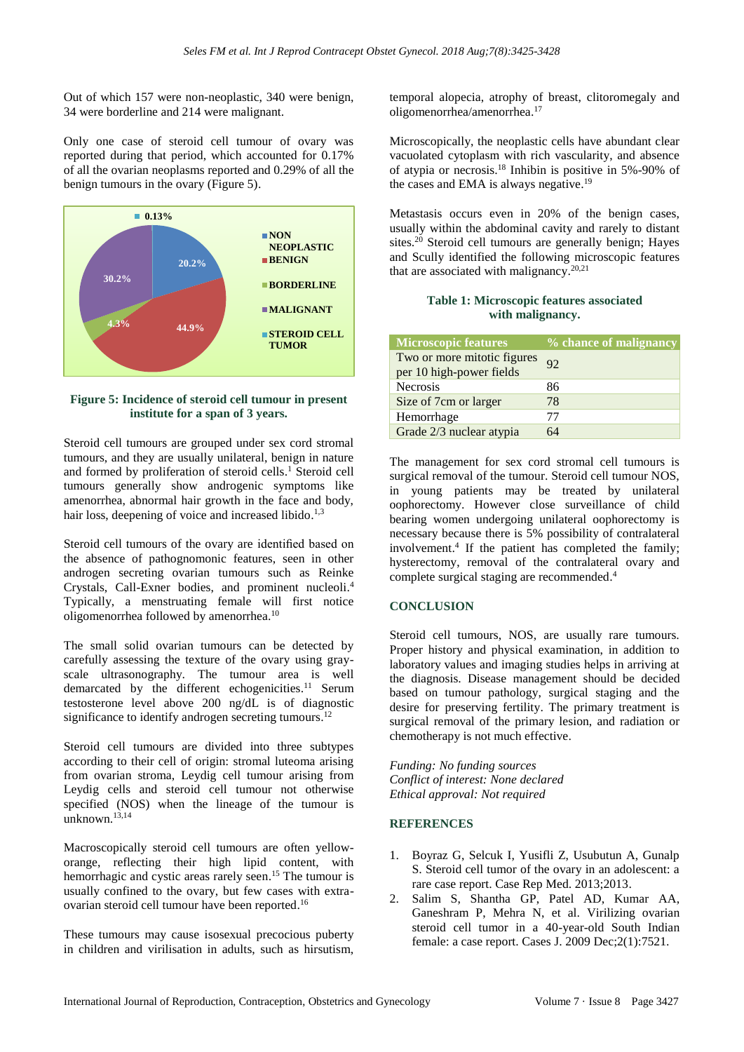Out of which 157 were non-neoplastic, 340 were benign, 34 were borderline and 214 were malignant.

Only one case of steroid cell tumour of ovary was reported during that period, which accounted for 0.17% of all the ovarian neoplasms reported and 0.29% of all the benign tumours in the ovary (Figure 5).



**Figure 5: Incidence of steroid cell tumour in present institute for a span of 3 years.**

Steroid cell tumours are grouped under sex cord stromal tumours, and they are usually unilateral, benign in nature and formed by proliferation of steroid cells. <sup>1</sup> Steroid cell tumours generally show androgenic symptoms like amenorrhea, abnormal hair growth in the face and body, hair loss, deepening of voice and increased libido.<sup>1,3</sup>

Steroid cell tumours of the ovary are identified based on the absence of pathognomonic features, seen in other androgen secreting ovarian tumours such as Reinke Crystals, Call-Exner bodies, and prominent nucleoli. 4 Typically, a menstruating female will first notice oligomenorrhea followed by amenorrhea. 10

The small solid ovarian tumours can be detected by carefully assessing the texture of the ovary using grayscale ultrasonography. The tumour area is well demarcated by the different echogenicities.<sup>11</sup> Serum testosterone level above 200 ng/dL is of diagnostic significance to identify androgen secreting tumours.<sup>12</sup>

Steroid cell tumours are divided into three subtypes according to their cell of origin: stromal luteoma arising from ovarian stroma, Leydig cell tumour arising from Leydig cells and steroid cell tumour not otherwise specified (NOS) when the lineage of the tumour is unknown. 13,14

Macroscopically steroid cell tumours are often yelloworange, reflecting their high lipid content, with hemorrhagic and cystic areas rarely seen.<sup>15</sup> The tumour is usually confined to the ovary, but few cases with extraovarian steroid cell tumour have been reported. 16

These tumours may cause isosexual precocious puberty in children and virilisation in adults, such as hirsutism, temporal alopecia, atrophy of breast, clitoromegaly and oligomenorrhea/amenorrhea. 17

Microscopically, the neoplastic cells have abundant clear vacuolated cytoplasm with rich vascularity, and absence of atypia or necrosis. <sup>18</sup> Inhibin is positive in 5%-90% of the cases and EMA is always negative.<sup>19</sup>

Metastasis occurs even in 20% of the benign cases, usually within the abdominal cavity and rarely to distant sites. <sup>20</sup> Steroid cell tumours are generally benign; Hayes and Scully identified the following microscopic features that are associated with malignancy. 20,21

### **Table 1: Microscopic features associated with malignancy.**

| <b>Microscopic features</b>                             | % chance of malignancy |
|---------------------------------------------------------|------------------------|
| Two or more mitotic figures<br>per 10 high-power fields | 92                     |
| <b>Necrosis</b>                                         | 86                     |
| Size of 7cm or larger                                   | 78                     |
| Hemorrhage                                              | 77                     |
| Grade 2/3 nuclear atypia                                | 64                     |

The management for sex cord stromal cell tumours is surgical removal of the tumour. Steroid cell tumour NOS, in young patients may be treated by unilateral oophorectomy. However close surveillance of child bearing women undergoing unilateral oophorectomy is necessary because there is 5% possibility of contralateral involvement. 4 If the patient has completed the family; hysterectomy, removal of the contralateral ovary and complete surgical staging are recommended. 4

# **CONCLUSION**

Steroid cell tumours, NOS, are usually rare tumours. Proper history and physical examination, in addition to laboratory values and imaging studies helps in arriving at the diagnosis. Disease management should be decided based on tumour pathology, surgical staging and the desire for preserving fertility. The primary treatment is surgical removal of the primary lesion, and radiation or chemotherapy is not much effective.

*Funding: No funding sources Conflict of interest: None declared Ethical approval: Not required*

### **REFERENCES**

- 1. Boyraz G, Selcuk I, Yusifli Z, Usubutun A, Gunalp S. Steroid cell tumor of the ovary in an adolescent: a rare case report. Case Rep Med. 2013;2013.
- 2. Salim S, Shantha GP, Patel AD, Kumar AA, Ganeshram P, Mehra N, et al. Virilizing ovarian steroid cell tumor in a 40-year-old South Indian female: a case report. Cases J. 2009 Dec;2(1):7521.